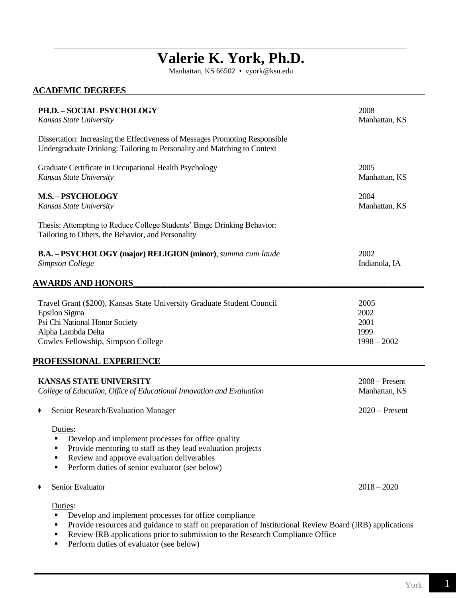# **Valerie K. York, Ph.D.**

Manhattan, KS 66502 • vyork@ksu.edu

# **ACADEMIC DEGREES**

| PH.D. - SOCIAL PSYCHOLOGY<br>Kansas State University                                                                                                                                                                                                                        | 2008<br>Manhattan, KS                         |
|-----------------------------------------------------------------------------------------------------------------------------------------------------------------------------------------------------------------------------------------------------------------------------|-----------------------------------------------|
| <b>Dissertation:</b> Increasing the Effectiveness of Messages Promoting Responsible<br>Undergraduate Drinking: Tailoring to Personality and Matching to Context                                                                                                             |                                               |
| Graduate Certificate in Occupational Health Psychology<br>Kansas State University                                                                                                                                                                                           | 2005<br>Manhattan, KS                         |
| <b>M.S.-PSYCHOLOGY</b><br>Kansas State University                                                                                                                                                                                                                           | 2004<br>Manhattan, KS                         |
| Thesis: Attempting to Reduce College Students' Binge Drinking Behavior:<br>Tailoring to Others, the Behavior, and Personality                                                                                                                                               |                                               |
| <b>B.A. - PSYCHOLOGY (major) RELIGION (minor)</b> , summa cum laude<br>Simpson College                                                                                                                                                                                      | 2002<br>Indianola, IA                         |
| <b>AWARDS AND HONORS</b>                                                                                                                                                                                                                                                    |                                               |
| Travel Grant (\$200), Kansas State University Graduate Student Council<br>Epsilon Sigma<br>Psi Chi National Honor Society<br>Alpha Lambda Delta<br>Cowles Fellowship, Simpson College<br>PROFESSIONAL EXPERIENCE                                                            | 2005<br>2002<br>2001<br>1999<br>$1998 - 2002$ |
| <b>KANSAS STATE UNIVERSITY</b><br>College of Education, Office of Educational Innovation and Evaluation                                                                                                                                                                     | $2008 -$ Present<br>Manhattan, KS             |
| Senior Research/Evaluation Manager                                                                                                                                                                                                                                          | $2020$ – Present                              |
| Duties:<br>Develop and implement processes for office quality<br>Provide mentoring to staff as they lead evaluation projects<br>Е<br>Review and approve evaluation deliverables<br>п<br>Perform duties of senior evaluator (see below)<br>п                                 |                                               |
| Senior Evaluator                                                                                                                                                                                                                                                            | $2018 - 2020$                                 |
| Duties:<br>Develop and implement processes for office compliance<br>٠<br>Provide resources and guidance to staff on preparation of Institutional Review Board (IRB) applications<br>٠<br>Review IRB applications prior to submission to the Research Compliance Office<br>Ξ |                                               |

**Perform duties of evaluator (see below)**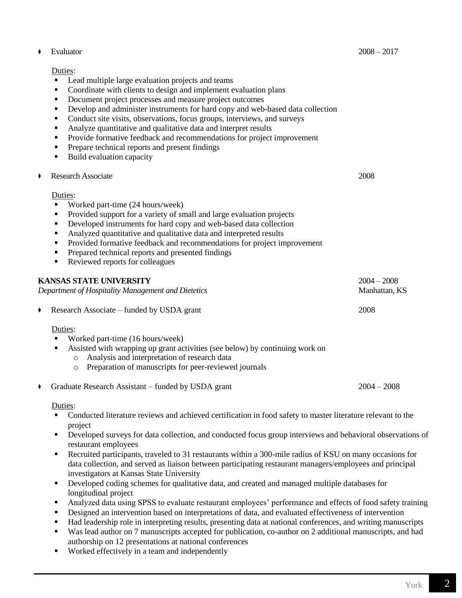#### Duties:

- Lead multiple large evaluation projects and teams
- Coordinate with clients to design and implement evaluation plans
- Document project processes and measure project outcomes
- Develop and administer instruments for hard copy and web-based data collection
- Conduct site visits, observations, focus groups, interviews, and surveys
- Analyze quantitative and qualitative data and interpret results
- Provide formative feedback and recommendations for project improvement
- **Prepare technical reports and present findings**
- **Build evaluation capacity**
- **Research Associate** 2008

#### Duties:

- Worked part-time (24 hours/week)
- Provided support for a variety of small and large evaluation projects
- Developed instruments for hard copy and web-based data collection
- Analyzed quantitative and qualitative data and interpreted results
- Provided formative feedback and recommendations for project improvement
- **Prepared technical reports and presented findings**
- Reviewed reports for colleagues

| <b>KANSAS STATE UNIVERSITY</b><br>Department of Hospitality Management and Dietetics |                                                                                                                                                    | $2004 - 2008$<br>Manhattan, KS |
|--------------------------------------------------------------------------------------|----------------------------------------------------------------------------------------------------------------------------------------------------|--------------------------------|
|                                                                                      | • Research Associate – funded by USDA grant                                                                                                        | 2008                           |
|                                                                                      | Duties:<br>Worked part-time (16 hours/week)<br>$\blacksquare$<br>Assisted with wrapping up grant activities (see below) by continuing work on<br>٠ |                                |

- o Analysis and interpretation of research data
- o Preparation of manuscripts for peer-reviewed journals
- Graduate Research Assistant funded by USDA grant 2004 2008

Duties:

- Conducted literature reviews and achieved certification in food safety to master literature relevant to the project
- **Peveloped surveys for data collection, and conducted focus group interviews and behavioral observations of** restaurant employees
- Recruited participants, traveled to 31 restaurants within a 300-mile radius of KSU on many occasions for data collection, and served as liaison between participating restaurant managers/employees and principal investigators at Kansas State University
- Developed coding schemes for qualitative data, and created and managed multiple databases for longitudinal project
- Analyzed data using SPSS to evaluate restaurant employees' performance and effects of food safety training
- Designed an intervention based on interpretations of data, and evaluated effectiveness of intervention
- Had leadership role in interpreting results, presenting data at national conferences, and writing manuscripts
- Was lead author on 7 manuscripts accepted for publication, co-author on 2 additional manuscripts, and had authorship on 12 presentations at national conferences
- **Worked effectively in a team and independently**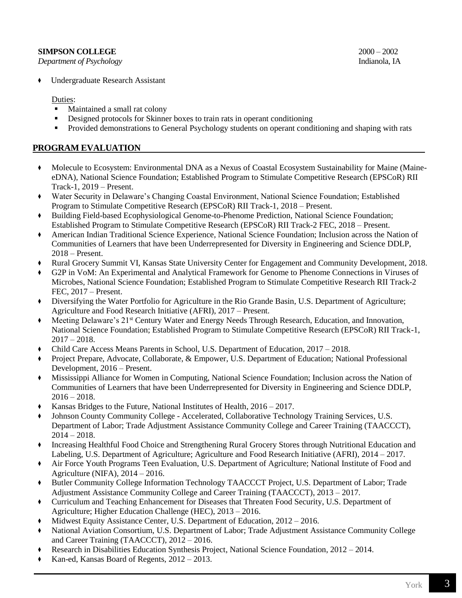# **SIMPSON COLLEGE** 2000 – 2002

*Department of Psychology* Indianola, IA

- Duties:
- Maintained a small rat colony
- Designed protocols for Skinner boxes to train rats in operant conditioning
- Provided demonstrations to General Psychology students on operant conditioning and shaping with rats

# **PROGRAM EVALUATION**

- ◆ Molecule to Ecosystem: Environmental DNA as a Nexus of Coastal Ecosystem Sustainability for Maine (MaineeDNA), National Science Foundation; Established Program to Stimulate Competitive Research (EPSCoR) RII Track-1, 2019 – Present.
- ◆ Water Security in Delaware's Changing Coastal Environment, National Science Foundation; Established Program to Stimulate Competitive Research (EPSCoR) RII Track-1, 2018 – Present.
- ◆ Building Field-based Ecophysiological Genome-to-Phenome Prediction, National Science Foundation; Established Program to Stimulate Competitive Research (EPSCoR) RII Track-2 FEC, 2018 – Present.
- ◆ American Indian Traditional Science Experience, National Science Foundation; Inclusion across the Nation of Communities of Learners that have been Underrepresented for Diversity in Engineering and Science DDLP, 2018 – Present.
- Rural Grocery Summit VI, Kansas State University Center for Engagement and Community Development, 2018.
- G2P in VoM: An Experimental and Analytical Framework for Genome to Phenome Connections in Viruses of Microbes, National Science Foundation; Established Program to Stimulate Competitive Research RII Track-2 FEC, 2017 – Present.
- ◆ Diversifying the Water Portfolio for Agriculture in the Rio Grande Basin, U.S. Department of Agriculture; Agriculture and Food Research Initiative (AFRI), 2017 – Present.
- Meeting Delaware's 21<sup>st</sup> Century Water and Energy Needs Through Research, Education, and Innovation, National Science Foundation; Established Program to Stimulate Competitive Research (EPSCoR) RII Track-1,  $2017 - 2018$ .
- Child Care Access Means Parents in School, U.S. Department of Education, 2017 2018.
- Project Prepare, Advocate, Collaborate, & Empower, U.S. Department of Education; National Professional Development, 2016 – Present.
- ◆ Mississippi Alliance for Women in Computing, National Science Foundation; Inclusion across the Nation of Communities of Learners that have been Underrepresented for Diversity in Engineering and Science DDLP,  $2016 - 2018$ .
- Kansas Bridges to the Future, National Institutes of Health,  $2016 2017$ .
- Johnson County Community College Accelerated, Collaborative Technology Training Services, U.S. Department of Labor; Trade Adjustment Assistance Community College and Career Training (TAACCCT),  $2014 - 2018.$
- ◆ Increasing Healthful Food Choice and Strengthening Rural Grocery Stores through Nutritional Education and Labeling, U.S. Department of Agriculture; Agriculture and Food Research Initiative (AFRI), 2014 – 2017.
- Air Force Youth Programs Teen Evaluation, U.S. Department of Agriculture; National Institute of Food and Agriculture (NIFA), 2014 – 2016.
- ◆ Butler Community College Information Technology TAACCCT Project, U.S. Department of Labor; Trade Adjustment Assistance Community College and Career Training (TAACCCT), 2013 – 2017.
- ◆ Curriculum and Teaching Enhancement for Diseases that Threaten Food Security, U.S. Department of Agriculture; Higher Education Challenge (HEC), 2013 – 2016.
- Midwest Equity Assistance Center, U.S. Department of Education, 2012 2016.
- National Aviation Consortium, U.S. Department of Labor; Trade Adjustment Assistance Community College and Career Training (TAACCCT), 2012 – 2016.
- Research in Disabilities Education Synthesis Project, National Science Foundation, 2012 2014.
- Kan-ed, Kansas Board of Regents,  $2012 2013$ .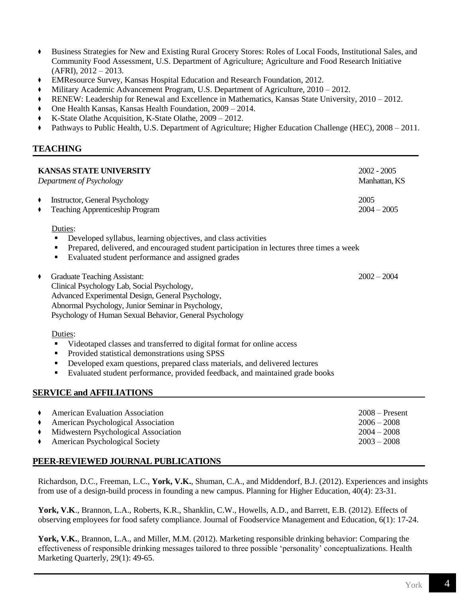- ◆ Business Strategies for New and Existing Rural Grocery Stores: Roles of Local Foods, Institutional Sales, and Community Food Assessment, U.S. Department of Agriculture; Agriculture and Food Research Initiative  $(AFRI), 2012 - 2013.$
- ◆ EMResource Survey, Kansas Hospital Education and Research Foundation, 2012.
- Military Academic Advancement Program, U.S. Department of Agriculture, 2010 2012.
- RENEW: Leadership for Renewal and Excellence in Mathematics, Kansas State University, 2010 2012.
- One Health Kansas, Kansas Health Foundation, 2009 2014.
- K-State Olathe Acquisition, K-State Olathe, 2009 2012.
- ◆ Pathways to Public Health, U.S. Department of Agriculture; Higher Education Challenge (HEC), 2008 2011.

#### **TEACHING**

| <b>KANSAS STATE UNIVERSITY</b><br>Department of Psychology |                                                                                                                                                                                                                                                                                                                                                          | $2002 - 2005$<br>Manhattan, KS                     |
|------------------------------------------------------------|----------------------------------------------------------------------------------------------------------------------------------------------------------------------------------------------------------------------------------------------------------------------------------------------------------------------------------------------------------|----------------------------------------------------|
|                                                            | Instructor, General Psychology<br><b>Teaching Apprenticeship Program</b>                                                                                                                                                                                                                                                                                 | 2005<br>$2004 - 2005$                              |
|                                                            | Duties:<br>Developed syllabus, learning objectives, and class activities<br>٠<br>Prepared, delivered, and encouraged student participation in lectures three times a week<br>٠<br>Evaluated student performance and assigned grades<br>٠                                                                                                                 |                                                    |
|                                                            | <b>Graduate Teaching Assistant:</b><br>Clinical Psychology Lab, Social Psychology,<br>Advanced Experimental Design, General Psychology,<br>Abnormal Psychology, Junior Seminar in Psychology,<br>Psychology of Human Sexual Behavior, General Psychology                                                                                                 | $2002 - 2004$                                      |
|                                                            | Duties:<br>Videotaped classes and transferred to digital format for online access<br>٠<br>Provided statistical demonstrations using SPSS<br>٠<br>Developed exam questions, prepared class materials, and delivered lectures<br>٠<br>Evaluated student performance, provided feedback, and maintained grade books<br>٠<br><b>SERVICE and AFFILIATIONS</b> |                                                    |
|                                                            | <b>American Evaluation Association</b><br>American Psychological Association<br>Midwestern Psychological Association                                                                                                                                                                                                                                     | $2008 -$ Present<br>$2006 - 2008$<br>$2004 - 2008$ |

American Psychological Society 2003 – 2008 **PEER-REVIEWED JOURNAL PUBLICATIONS**

# Richardson, D.C., Freeman, L.C., **York, V.K.**, Shuman, C.A., and Middendorf, B.J. (2012). Experiences and insights from use of a design-build process in founding a new campus. Planning for Higher Education, 40(4): 23-31.

**York, V.K**., Brannon, L.A., Roberts, K.R., Shanklin, C.W., Howells, A.D., and Barrett, E.B. (2012). Effects of observing employees for food safety compliance. Journal of Foodservice Management and Education, 6(1): 17-24.

**York, V.K.**, Brannon, L.A., and Miller, M.M. (2012). Marketing responsible drinking behavior: Comparing the effectiveness of responsible drinking messages tailored to three possible 'personality' conceptualizations. Health Marketing Quarterly, 29(1): 49-65.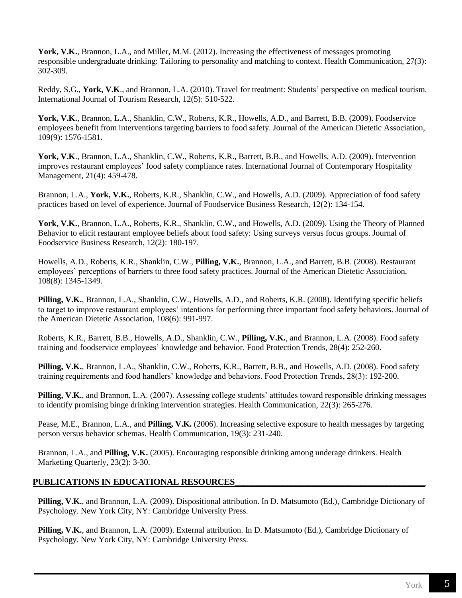**York, V.K.**, Brannon, L.A., and Miller, M.M. (2012). Increasing the effectiveness of messages promoting responsible undergraduate drinking: Tailoring to personality and matching to context. Health Communication, 27(3): 302-309.

Reddy, S.G., **York, V.K**., and Brannon, L.A. (2010). Travel for treatment: Students' perspective on medical tourism. International Journal of Tourism Research, 12(5): 510-522.

**York, V.K.**, Brannon, L.A., Shanklin, C.W., Roberts, K.R., Howells, A.D., and Barrett, B.B. (2009). Foodservice employees benefit from interventions targeting barriers to food safety. Journal of the American Dietetic Association, 109(9): 1576-1581.

**York, V.K**., Brannon, L.A., Shanklin, C.W., Roberts, K.R., Barrett, B.B., and Howells, A.D. (2009). Intervention improves restaurant employees' food safety compliance rates. International Journal of Contemporary Hospitality Management, 21(4): 459-478.

Brannon, L.A., **York, V.K.**, Roberts, K.R., Shanklin, C.W., and Howells, A.D. (2009). Appreciation of food safety practices based on level of experience. Journal of Foodservice Business Research, 12(2): 134-154.

**York, V.K.**, Brannon, L.A., Roberts, K.R., Shanklin, C.W., and Howells, A.D. (2009). Using the Theory of Planned Behavior to elicit restaurant employee beliefs about food safety: Using surveys versus focus groups. Journal of Foodservice Business Research, 12(2): 180-197.

Howells, A.D., Roberts, K.R., Shanklin, C.W., **Pilling, V.K.**, Brannon, L.A., and Barrett, B.B. (2008). Restaurant employees' perceptions of barriers to three food safety practices. Journal of the American Dietetic Association, 108(8): 1345-1349.

**Pilling, V.K.**, Brannon, L.A., Shanklin, C.W., Howells, A.D., and Roberts, K.R. (2008). Identifying specific beliefs to target to improve restaurant employees' intentions for performing three important food safety behaviors. Journal of the American Dietetic Association, 108(6): 991-997.

Roberts, K.R., Barrett, B.B., Howells, A.D., Shanklin, C.W., **Pilling, V.K.**, and Brannon, L.A. (2008). Food safety training and foodservice employees' knowledge and behavior. Food Protection Trends, 28(4): 252-260.

**Pilling, V.K.**, Brannon, L.A., Shanklin, C.W., Roberts, K.R., Barrett, B.B., and Howells, A.D. (2008). Food safety training requirements and food handlers' knowledge and behaviors. Food Protection Trends, 28(3): 192-200.

**Pilling, V.K.**, and Brannon, L.A. (2007). Assessing college students' attitudes toward responsible drinking messages to identify promising binge drinking intervention strategies. Health Communication, 22(3): 265-276.

Pease, M.E., Brannon, L.A., and **Pilling, V.K.** (2006). Increasing selective exposure to health messages by targeting person versus behavior schemas. Health Communication, 19(3): 231-240.

Brannon, L.A., and **Pilling, V.K.** (2005). Encouraging responsible drinking among underage drinkers. Health Marketing Quarterly, 23(2): 3-30.

# **PUBLICATIONS IN EDUCATIONAL RESOURCES\_\_\_\_\_\_\_\_\_\_\_\_\_\_\_\_\_\_\_\_\_\_\_\_\_\_\_\_\_\_\_\_\_\_\_\_\_\_\_\_\_\_\_\_**

**Pilling, V.K.**, and Brannon, L.A. (2009). Dispositional attribution. In D. Matsumoto (Ed.), Cambridge Dictionary of Psychology. New York City, NY: Cambridge University Press.

**Pilling, V.K.**, and Brannon, L.A. (2009). External attribution. In D. Matsumoto (Ed.), Cambridge Dictionary of Psychology. New York City, NY: Cambridge University Press.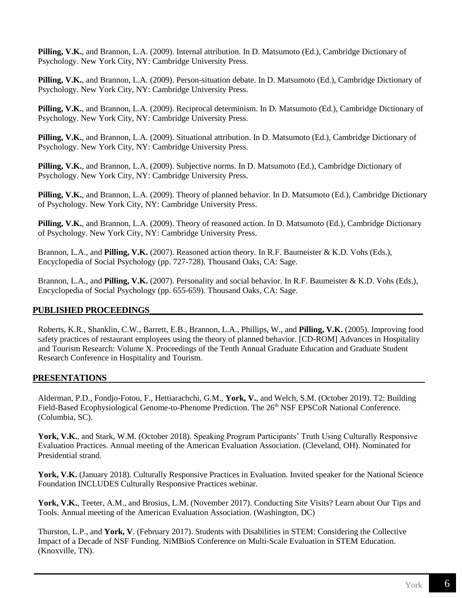**Pilling, V.K.**, and Brannon, L.A. (2009). Internal attribution. In D. Matsumoto (Ed.), Cambridge Dictionary of Psychology. New York City, NY: Cambridge University Press.

**Pilling, V.K.**, and Brannon, L.A. (2009). Person-situation debate. In D. Matsumoto (Ed.), Cambridge Dictionary of Psychology. New York City, NY: Cambridge University Press.

**Pilling, V.K.**, and Brannon, L.A. (2009). Reciprocal determinism. In D. Matsumoto (Ed.), Cambridge Dictionary of Psychology. New York City, NY: Cambridge University Press.

**Pilling, V.K.**, and Brannon, L.A. (2009). Situational attribution. In D. Matsumoto (Ed.), Cambridge Dictionary of Psychology. New York City, NY: Cambridge University Press.

**Pilling, V.K.**, and Brannon, L.A. (2009). Subjective norms. In D. Matsumoto (Ed.), Cambridge Dictionary of Psychology. New York City, NY: Cambridge University Press.

**Pilling, V.K.**, and Brannon, L.A. (2009). Theory of planned behavior. In D. Matsumoto (Ed.), Cambridge Dictionary of Psychology. New York City, NY: Cambridge University Press.

**Pilling, V.K.**, and Brannon, L.A. (2009). Theory of reasoned action. In D. Matsumoto (Ed.), Cambridge Dictionary of Psychology. New York City, NY: Cambridge University Press.

Brannon, L.A., and **Pilling, V.K.** (2007). Reasoned action theory. In R.F. Baumeister & K.D. Vohs (Eds.), Encyclopedia of Social Psychology (pp. 727-728). Thousand Oaks, CA: Sage.

Brannon, L.A., and **Pilling, V.K.** (2007). Personality and social behavior. In R.F. Baumeister & K.D. Vohs (Eds.), Encyclopedia of Social Psychology (pp. 655-659). Thousand Oaks, CA: Sage.

#### PUBLISHED PROCEEDINGS

Roberts, K.R., Shanklin, C.W., Barrett, E.B., Brannon, L.A., Phillips, W., and **Pilling, V.K.** (2005). Improving food safety practices of restaurant employees using the theory of planned behavior. [CD-ROM] Advances in Hospitality and Tourism Research: Volume X. Proceedings of the Tenth Annual Graduate Education and Graduate Student Research Conference in Hospitality and Tourism.

#### **PRESENTATIONS**

Alderman, P.D., Fondjo-Fotou, F., Hettiarachchi, G.M., **York, V.**, and Welch, S.M. (October 2019). T2: Building Field-Based Ecophysiological Genome-to-Phenome Prediction. The 26<sup>th</sup> NSF EPSCoR National Conference. (Columbia, SC).

**York, V.K.**, and Stark, W.M. (October 2018). Speaking Program Participants' Truth Using Culturally Responsive Evaluation Practices. Annual meeting of the American Evaluation Association. (Cleveland, OH). Nominated for Presidential strand.

**York, V.K.** (January 2018). Culturally Responsive Practices in Evaluation. Invited speaker for the National Science Foundation INCLUDES Culturally Responsive Practices webinar.

**York, V.K.**, Teeter, A.M., and Brosius, L.M. (November 2017). Conducting Site Visits? Learn about Our Tips and Tools. Annual meeting of the American Evaluation Association. (Washington, DC)

Thurston, L.P., and **York, V**. (February 2017). Students with Disabilities in STEM: Considering the Collective Impact of a Decade of NSF Funding. NiMBioS Conference on Multi-Scale Evaluation in STEM Education. (Knoxville, TN).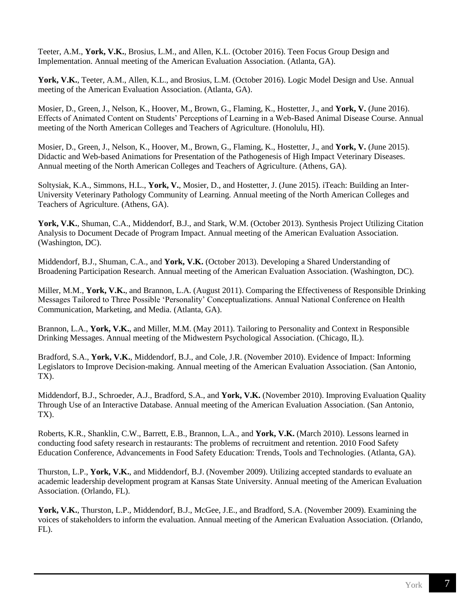Teeter, A.M., **York, V.K.**, Brosius, L.M., and Allen, K.L. (October 2016). Teen Focus Group Design and Implementation. Annual meeting of the American Evaluation Association. (Atlanta, GA).

**York, V.K.**, Teeter, A.M., Allen, K.L., and Brosius, L.M. (October 2016). Logic Model Design and Use. Annual meeting of the American Evaluation Association. (Atlanta, GA).

Mosier, D., Green, J., Nelson, K., Hoover, M., Brown, G., Flaming, K., Hostetter, J., and **York, V.** (June 2016). Effects of Animated Content on Students' Perceptions of Learning in a Web-Based Animal Disease Course. Annual meeting of the North American Colleges and Teachers of Agriculture. (Honolulu, HI).

Mosier, D., Green, J., Nelson, K., Hoover, M., Brown, G., Flaming, K., Hostetter, J., and **York, V.** (June 2015). Didactic and Web-based Animations for Presentation of the Pathogenesis of High Impact Veterinary Diseases. Annual meeting of the North American Colleges and Teachers of Agriculture. (Athens, GA).

Soltysiak, K.A., Simmons, H.L., **York, V.**, Mosier, D., and Hostetter, J. (June 2015). iTeach: Building an Inter-University Veterinary Pathology Community of Learning. Annual meeting of the North American Colleges and Teachers of Agriculture. (Athens, GA).

**York, V.K.**, Shuman, C.A., Middendorf, B.J., and Stark, W.M. (October 2013). Synthesis Project Utilizing Citation Analysis to Document Decade of Program Impact. Annual meeting of the American Evaluation Association. (Washington, DC).

Middendorf, B.J., Shuman, C.A., and **York, V.K.** (October 2013). Developing a Shared Understanding of Broadening Participation Research. Annual meeting of the American Evaluation Association. (Washington, DC).

Miller, M.M., **York, V.K.**, and Brannon, L.A. (August 2011). Comparing the Effectiveness of Responsible Drinking Messages Tailored to Three Possible 'Personality' Conceptualizations. Annual National Conference on Health Communication, Marketing, and Media. (Atlanta, GA).

Brannon, L.A., **York, V.K.**, and Miller, M.M. (May 2011). Tailoring to Personality and Context in Responsible Drinking Messages. Annual meeting of the Midwestern Psychological Association. (Chicago, IL).

Bradford, S.A., **York, V.K.**, Middendorf, B.J., and Cole, J.R. (November 2010). Evidence of Impact: Informing Legislators to Improve Decision-making. Annual meeting of the American Evaluation Association. (San Antonio, TX).

Middendorf, B.J., Schroeder, A.J., Bradford, S.A., and **York, V.K.** (November 2010). Improving Evaluation Quality Through Use of an Interactive Database. Annual meeting of the American Evaluation Association. (San Antonio, TX).

Roberts, K.R., Shanklin, C.W., Barrett, E.B., Brannon, L.A., and **York, V.K.** (March 2010). Lessons learned in conducting food safety research in restaurants: The problems of recruitment and retention. 2010 Food Safety Education Conference, Advancements in Food Safety Education: Trends, Tools and Technologies. (Atlanta, GA).

Thurston, L.P., **York, V.K.**, and Middendorf, B.J. (November 2009). Utilizing accepted standards to evaluate an academic leadership development program at Kansas State University. Annual meeting of the American Evaluation Association. (Orlando, FL).

**York, V.K.**, Thurston, L.P., Middendorf, B.J., McGee, J.E., and Bradford, S.A. (November 2009). Examining the voices of stakeholders to inform the evaluation. Annual meeting of the American Evaluation Association. (Orlando, FL).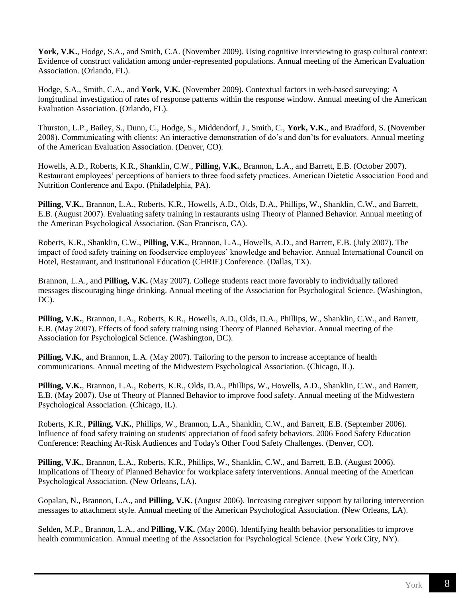**York, V.K.**, Hodge, S.A., and Smith, C.A. (November 2009). Using cognitive interviewing to grasp cultural context: Evidence of construct validation among under-represented populations. Annual meeting of the American Evaluation Association. (Orlando, FL).

Hodge, S.A., Smith, C.A., and **York, V.K.** (November 2009). Contextual factors in web-based surveying: A longitudinal investigation of rates of response patterns within the response window. Annual meeting of the American Evaluation Association. (Orlando, FL).

Thurston, L.P., Bailey, S., Dunn, C., Hodge, S., Middendorf, J., Smith, C., **York, V.K.**, and Bradford, S. (November 2008). Communicating with clients: An interactive demonstration of do's and don'ts for evaluators. Annual meeting of the American Evaluation Association. (Denver, CO).

Howells, A.D., Roberts, K.R., Shanklin, C.W., **Pilling, V.K.**, Brannon, L.A., and Barrett, E.B. (October 2007). Restaurant employees' perceptions of barriers to three food safety practices. American Dietetic Association Food and Nutrition Conference and Expo. (Philadelphia, PA).

**Pilling, V.K.**, Brannon, L.A., Roberts, K.R., Howells, A.D., Olds, D.A., Phillips, W., Shanklin, C.W., and Barrett, E.B. (August 2007). Evaluating safety training in restaurants using Theory of Planned Behavior. Annual meeting of the American Psychological Association. (San Francisco, CA).

Roberts, K.R., Shanklin, C.W., **Pilling, V.K.**, Brannon, L.A., Howells, A.D., and Barrett, E.B. (July 2007). The impact of food safety training on foodservice employees' knowledge and behavior. Annual International Council on Hotel, Restaurant, and Institutional Education (CHRIE) Conference. (Dallas, TX).

Brannon, L.A., and **Pilling, V.K.** (May 2007). College students react more favorably to individually tailored messages discouraging binge drinking. Annual meeting of the Association for Psychological Science. (Washington, DC).

**Pilling, V.K.**, Brannon, L.A., Roberts, K.R., Howells, A.D., Olds, D.A., Phillips, W., Shanklin, C.W., and Barrett, E.B. (May 2007). Effects of food safety training using Theory of Planned Behavior. Annual meeting of the Association for Psychological Science. (Washington, DC).

**Pilling, V.K.**, and Brannon, L.A. (May 2007). Tailoring to the person to increase acceptance of health communications. Annual meeting of the Midwestern Psychological Association. (Chicago, IL).

**Pilling, V.K.**, Brannon, L.A., Roberts, K.R., Olds, D.A., Phillips, W., Howells, A.D., Shanklin, C.W., and Barrett, E.B. (May 2007). Use of Theory of Planned Behavior to improve food safety. Annual meeting of the Midwestern Psychological Association. (Chicago, IL).

Roberts, K.R., **Pilling, V.K.**, Phillips, W., Brannon, L.A., Shanklin, C.W., and Barrett, E.B. (September 2006). Influence of food safety training on students' appreciation of food safety behaviors. 2006 Food Safety Education Conference: Reaching At-Risk Audiences and Today's Other Food Safety Challenges. (Denver, CO).

**Pilling, V.K.**, Brannon, L.A., Roberts, K.R., Phillips, W., Shanklin, C.W., and Barrett, E.B. (August 2006). Implications of Theory of Planned Behavior for workplace safety interventions. Annual meeting of the American Psychological Association. (New Orleans, LA).

Gopalan, N., Brannon, L.A., and **Pilling, V.K.** (August 2006). Increasing caregiver support by tailoring intervention messages to attachment style. Annual meeting of the American Psychological Association. (New Orleans, LA).

Selden, M.P., Brannon, L.A., and **Pilling, V.K.** (May 2006). Identifying health behavior personalities to improve health communication. Annual meeting of the Association for Psychological Science. (New York City, NY).